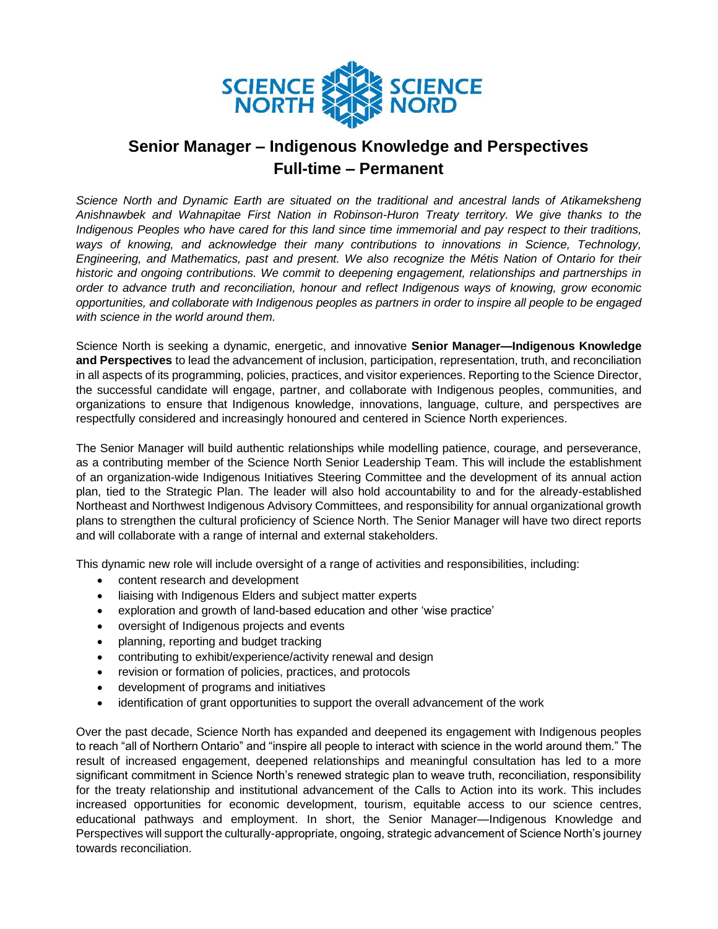

## **Senior Manager – Indigenous Knowledge and Perspectives Full-time – Permanent**

*Science North and Dynamic Earth are situated on the traditional and ancestral lands of Atikameksheng Anishnawbek and Wahnapitae First Nation in Robinson-Huron Treaty territory. We give thanks to the Indigenous Peoples who have cared for this land since time immemorial and pay respect to their traditions, ways of knowing, and acknowledge their many contributions to innovations in Science, Technology, Engineering, and Mathematics, past and present. We also recognize the Métis Nation of Ontario for their historic and ongoing contributions. We commit to deepening engagement, relationships and partnerships in order to advance truth and reconciliation, honour and reflect Indigenous ways of knowing, grow economic opportunities, and collaborate with Indigenous peoples as partners in order to inspire all people to be engaged with science in the world around them.*

Science North is seeking a dynamic, energetic, and innovative **Senior Manager—Indigenous Knowledge and Perspectives** to lead the advancement of inclusion, participation, representation, truth, and reconciliation in all aspects of its programming, policies, practices, and visitor experiences. Reporting to the Science Director, the successful candidate will engage, partner, and collaborate with Indigenous peoples, communities, and organizations to ensure that Indigenous knowledge, innovations, language, culture, and perspectives are respectfully considered and increasingly honoured and centered in Science North experiences.

The Senior Manager will build authentic relationships while modelling patience, courage, and perseverance, as a contributing member of the Science North Senior Leadership Team. This will include the establishment of an organization-wide Indigenous Initiatives Steering Committee and the development of its annual action plan, tied to the Strategic Plan. The leader will also hold accountability to and for the already-established Northeast and Northwest Indigenous Advisory Committees, and responsibility for annual organizational growth plans to strengthen the cultural proficiency of Science North. The Senior Manager will have two direct reports and will collaborate with a range of internal and external stakeholders.

This dynamic new role will include oversight of a range of activities and responsibilities, including:

- content research and development
- liaising with Indigenous Elders and subject matter experts
- exploration and growth of land-based education and other 'wise practice'
- oversight of Indigenous projects and events
- planning, reporting and budget tracking
- contributing to exhibit/experience/activity renewal and design
- revision or formation of policies, practices, and protocols
- development of programs and initiatives
- identification of grant opportunities to support the overall advancement of the work

Over the past decade, Science North has expanded and deepened its engagement with Indigenous peoples to reach "all of Northern Ontario" and "inspire all people to interact with science in the world around them." The result of increased engagement, deepened relationships and meaningful consultation has led to a more significant commitment in Science North's renewed strategic plan to weave truth, reconciliation, responsibility for the treaty relationship and institutional advancement of the Calls to Action into its work. This includes increased opportunities for economic development, tourism, equitable access to our science centres, educational pathways and employment. In short, the Senior Manager—Indigenous Knowledge and Perspectives will support the culturally-appropriate, ongoing, strategic advancement of Science North's journey towards reconciliation.